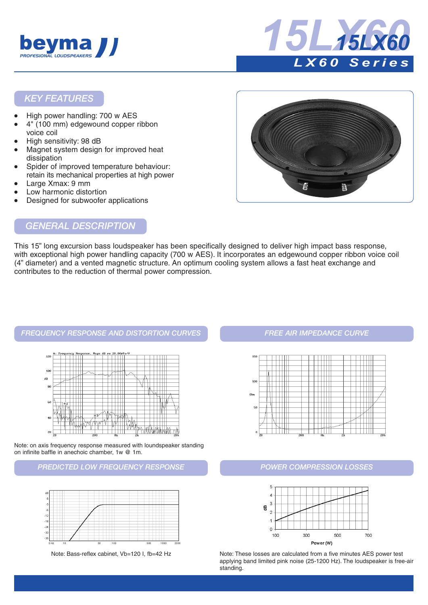



#### *KEY FEATURES*

- High power handling: 700 w AES
- 4" (100 mm) edgewound copper ribbon voice coil
- High sensitivity: 98 dB
- Magnet system design for improved heat dissipation
- Spider of improved temperature behaviour: retain its mechanical properties at high power
- Large Xmax: 9 mm
- Low harmonic distortion
- Designed for subwoofer applications



# *GENERAL DESCRIPTION*

This 15" long excursion bass loudspeaker has been specifically designed to deliver high impact bass response, with exceptional high power handling capacity (700 w AES). It incorporates an edgewound copper ribbon voice coil (4" diameter) and a vented magnetic structure. An optimum cooling system allows a fast heat exchange and contributes to the reduction of thermal power compression.

#### *FREQUENCY RESPONSE AND DISTORTION CURVES FREE AIR IMPEDANCE CURVE*



Note: on axis frequency response measured with loundspeaker standing on infinite baffle in anechoic chamber, 1w @ 1m.

#### *PREDICTED LOW FREQUENCY RESPONSE POWER COMPRESSION LOSSES*







Note: Bass-reflex cabinet, Vb=120 I, fb=42 Hz Note: These losses are calculated from a five minutes AES power test applying band limited pink noise (25-1200 Hz). The loudspeaker is free-air standing.